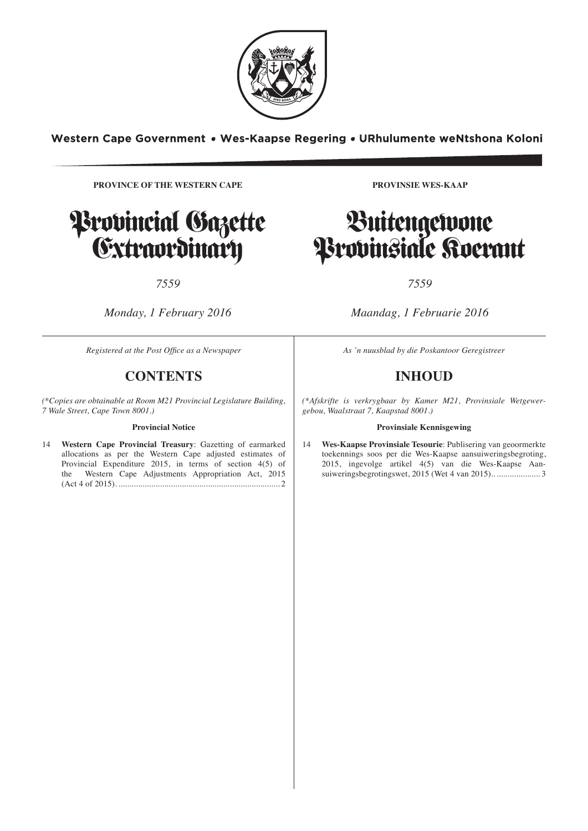

Western Cape Government • Wes-Kaapse Regering • URhulumente weNtshona Koloni

**INHOUD** *(\*Afskrifte is verkrygbaar by Kamer M21,*

**Provinsiale Kennisgewing**

**PROVINCE OF THE WESTERN CAPE PROVINCE OF THE WESTERN CAPE**



# *7559*

*Monday, 1 February 2016* 

*Registered at the Post Office as a Newspaper* **As 'n** *As 'n nu* 

# **CONTENTS CONTENTS**

<sup>\*</sup>Conjes are obtainable at Room M21 Provincial Legislature Building | <sup>\*</sup>Afskrifte\_is\_verkr *Town 8001.) 7 Wale Street, Cape Town 8001.)* (\*Copies are obtainable at Room M21 Provincial Legislature Building,<br>7 Wale Street Cape Town 8001 )

### **Provincial Notice Provincial Notice**

14 Western Cape Provincial Treasury: Gazetting of earmarked 14 Wes-Kaapse I in the Section 37 (1) of the Section 37(1) of the Section 37(1) variable 37(1) values of the Mestern Cape adjusted estimates of toekennings so Provincial Expenditure 2015, in terms of section 4(5) of the Western Cape Adjustments Appropriation Act, 2015 (Act 4 of 2015). .......................................................................... 2

**PROVINSIE WES-KAAP** 

# Buitengewone<br>Provinsiale Roerant rn **Arnhinziale Goerant** Buitengewone

# *7559*

*Maandag, 1 Februarie 2016* 

*Ibhaliswe ePosini njengePhephandaba As 'n nuusblad by die Poskantoor Geregistreer*

# **INHOUD**

*M21, kwiSakhiwo sePhondo seNdlu yoWiso (\*Afskrifte is verkrygbaar by Kamer M21, Provinsiale Wetgewer-Mthetho, 7 Wale Street, eKapa 8001.) gebou, Waalstraat 7, Kaapstad 8001.)*

### **Provinsiale Kennisgewing**

ee estimates of the cockentral soos per die wes-Kaapse aansdiweringsoegroung, section 4(5) of 2015, ingevolge artikel 4(5) van die Wes-Kaapse Aan-14 **Wes-Kaapse Provinsiale Tesourie**: Publisering van geoormerkte toekennings soos per die Wes-Kaapse aansuiweringsbegroting, suiweringsbegrotingswet, 2015 (Wet 4 van 2015).. .................... 3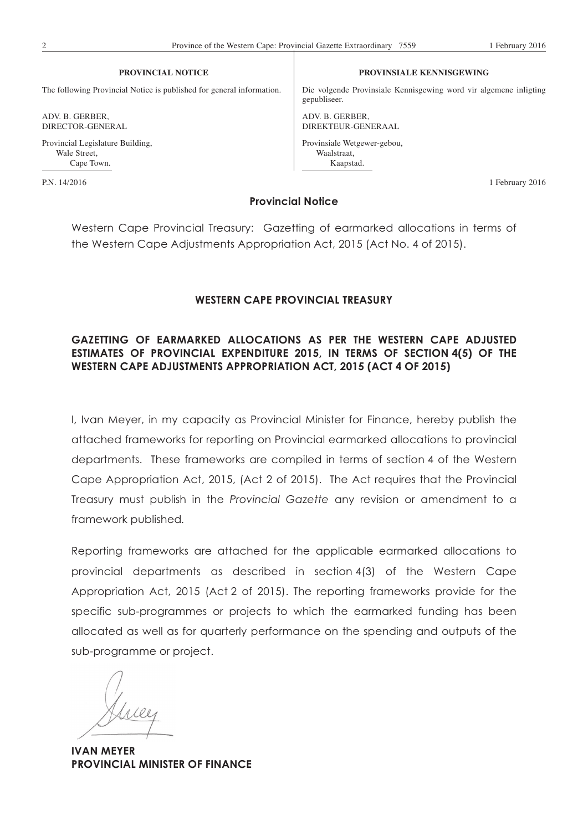The following Provincial Notice is published for general information.

**PROVINCIAL NOTICE**

ADV. B. GERBER, DIRECTOR-GENERAL

Provincial Legislature Building, Wale Street, Cape Town.

### **PROVINSIALE KENNISGEWING**

Die volgende Provinsiale Kennisgewing word vir algemene inligting gepubliseer.

ADV. B. GERBER, DIREKTEUR-GENERAAL Provinsiale Wetgewer-gebou, Waalstraat, Kaapstad.

P.N. 14/2016 1 February 2016

## **Provincial Notice**

Western Cape Provincial Treasury: Gazetting of earmarked allocations in terms of the Western Cape Adjustments Appropriation Act, 2015 (Act No. 4 of 2015).

## **WESTERN CAPE PROVINCIAL TREASURY**

# **GAZETTING OF EARMARKED ALLOCATIONS AS PER THE WESTERN CAPE ADJUSTED ESTIMATES OF PROVINCIAL EXPENDITURE 2015, IN TERMS OF SECTION 4(5) OF THE WESTERN CAPE ADJUSTMENTS APPROPRIATION ACT, 2015 (ACT 4 OF 2015)**

I, Ivan Meyer, in my capacity as Provincial Minister for Finance, hereby publish the attached frameworks for reporting on Provincial earmarked allocations to provincial departments. These frameworks are compiled in terms of section 4 of the Western Cape Appropriation Act, 2015, (Act 2 of 2015). The Act requires that the Provincial Treasury must publish in the *Provincial Gazette* any revision or amendment to a framework published*.*

Reporting frameworks are attached for the applicable earmarked allocations to provincial departments as described in section 4(3) of the Western Cape Appropriation Act, 2015 (Act 2 of 2015). The reporting frameworks provide for the specific sub-programmes or projects to which the earmarked funding has been allocated as well as for quarterly performance on the spending and outputs of the sub-programme or project.

**IVAN MEYER PROVINCIAL MINISTER OF FINANCE**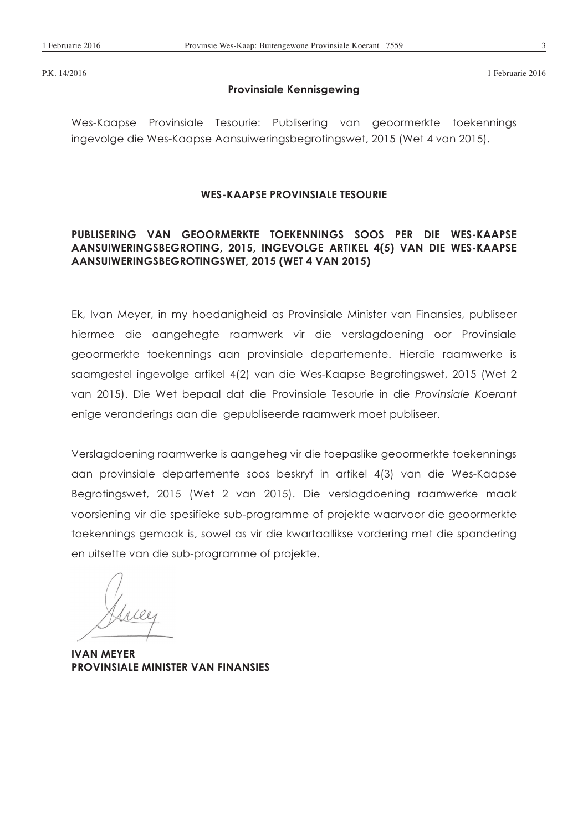P.K. 14/2016 1 Februarie 2016

## **Provinsiale Kennisgewing**

Wes-Kaapse Provinsiale Tesourie: Publisering van geoormerkte toekennings ingevolge die Wes-Kaapse Aansuiweringsbegrotingswet, 2015 (Wet 4 van 2015).

### **WES-KAAPSE PROVINSIALE TESOURIE**

# **PUBLISERING VAN GEOORMERKTE TOEKENNINGS SOOS PER DIE WES-KAAPSE AANSUIWERINGSBEGROTING, 2015, INGEVOLGE ARTIKEL 4(5) VAN DIE WES-KAAPSE AANSUIWERINGSBEGROTINGSWET, 2015 (WET 4 VAN 2015)**

Ek, Ivan Meyer, in my hoedanigheid as Provinsiale Minister van Finansies, publiseer hiermee die aangehegte raamwerk vir die verslagdoening oor Provinsiale geoormerkte toekennings aan provinsiale departemente. Hierdie raamwerke is saamgestel ingevolge artikel 4(2) van die Wes-Kaapse Begrotingswet, 2015 (Wet 2 van 2015). Die Wet bepaal dat die Provinsiale Tesourie in die *Provinsiale Koerant* enige veranderings aan die gepubliseerde raamwerk moet publiseer.

Verslagdoening raamwerke is aangeheg vir die toepaslike geoormerkte toekennings aan provinsiale departemente soos beskryf in artikel 4(3) van die Wes-Kaapse Begrotingswet, 2015 (Wet 2 van 2015). Die verslagdoening raamwerke maak voorsiening vir die spesifieke sub-programme of projekte waarvoor die geoormerkte toekennings gemaak is, sowel as vir die kwartaallikse vordering met die spandering en uitsette van die sub-programme of projekte.

**IVAN MEYER PROVINSIALE MINISTER VAN FINANSIES**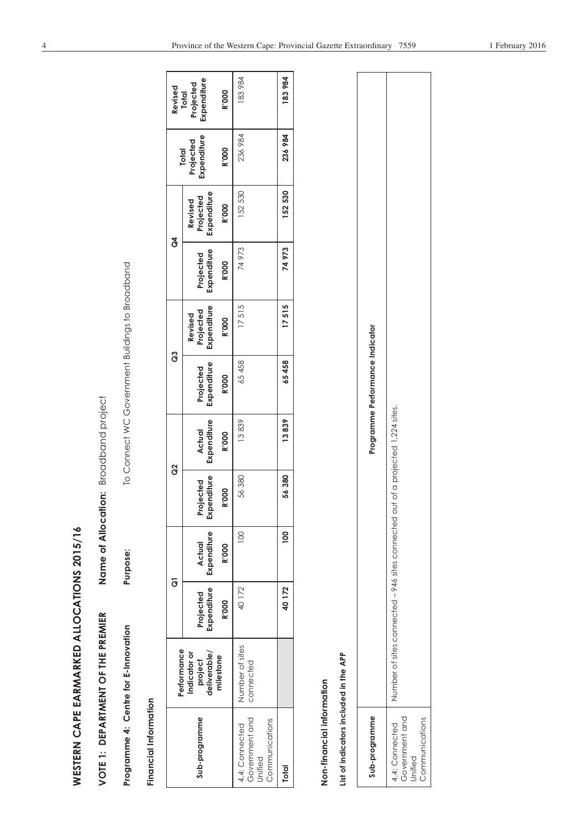| I                   |
|---------------------|
|                     |
|                     |
| J                   |
|                     |
| ı                   |
|                     |
|                     |
|                     |
|                     |
|                     |
|                     |
|                     |
| j<br>$\overline{a}$ |
|                     |
|                     |
|                     |
|                     |
|                     |
|                     |
|                     |
|                     |
|                     |
|                     |
|                     |
|                     |
|                     |
|                     |
|                     |
|                     |
| J<br>į              |
|                     |
|                     |
| .<br>(<br>I         |
|                     |
|                     |
|                     |
|                     |
|                     |
|                     |
|                     |
|                     |

| WESTERN CAPE EARMARKED ALLOCATIONS 2015/16                          |                                         |                                                     |                       |                          |                                       |                                                 |                                     |                          |                                     |                                          |                                   |
|---------------------------------------------------------------------|-----------------------------------------|-----------------------------------------------------|-----------------------|--------------------------|---------------------------------------|-------------------------------------------------|-------------------------------------|--------------------------|-------------------------------------|------------------------------------------|-----------------------------------|
| VOTE 1: DEPARTMENT OF THE PREMIER                                   |                                         |                                                     |                       |                          | Name of Allocation: Broadband project |                                                 |                                     |                          |                                     |                                          |                                   |
| Programme 4: Centre for E-Innovation                                |                                         |                                                     | Purpose:              |                          |                                       | To Connect WC Government Buildings to Broadband |                                     |                          |                                     |                                          |                                   |
| Financial Information                                               |                                         |                                                     |                       |                          |                                       |                                                 |                                     |                          |                                     |                                          |                                   |
|                                                                     | Performance                             |                                                     | $\overline{6}$        |                          | ဗွ                                    | ဗိ                                              |                                     | $\mathcal{L}$            |                                     |                                          | Revised                           |
| Sub-programme                                                       | Indicator or<br>deliverable/<br>project | Expenditure<br>Projected                            | Expenditure<br>Actual | Expenditure<br>Projected | Expenditure<br>Actual                 | Expenditure<br>Projected                        | Expenditure<br>Projected<br>Revised | Expenditure<br>Projected | Expenditure<br>Projected<br>Revised | Expenditure<br>Projected<br><b>Total</b> | Expenditure<br>Projected<br>Total |
|                                                                     | milestone                               | <b>R'000</b>                                        | <b>R'000</b>          | <b>R'000</b>             | <b>R'000</b>                          | <b>R'000</b>                                    | <b>R'000</b>                        | <b>R'000</b>             | <b>R'000</b>                        | <b>R'000</b>                             | <b>R'000</b>                      |
| Government and<br>Communications<br>4.4: Connected<br>Unified       | Number of sites<br>connected            | 40172                                               | 100                   | 56 380                   | 13839                                 | 65458                                           | 17515                               | 74973                    | 152 530                             | 236 984                                  | 183984                            |
| <b>Total</b>                                                        |                                         | 40 172                                              | $\overline{0}$        | 56380                    | 13839                                 | 65458                                           | 17515                               | 74973                    | 152530                              | 236 984                                  | 183 984                           |
| List of indicators included in the APP<br>Non-financial information |                                         |                                                     |                       |                          |                                       |                                                 |                                     |                          |                                     |                                          |                                   |
| Sub-programme                                                       |                                         |                                                     |                       |                          |                                       | Programme Performance Indicator                 |                                     |                          |                                     |                                          |                                   |
| Government and<br>Communications<br>4.4: Connected<br>Unified       |                                         | Number of sites connected - 946 sites connected out |                       |                          | of a projected 1,224 sites.           |                                                 |                                     |                          |                                     |                                          |                                   |

| Programme Performance Indicator | lumber of sites connected - 946 sites connected out of a projected 1,224 sites. |
|---------------------------------|---------------------------------------------------------------------------------|
| Sub-programme                   | Government and<br>Communications<br>1.4: Connected<br>Jnified                   |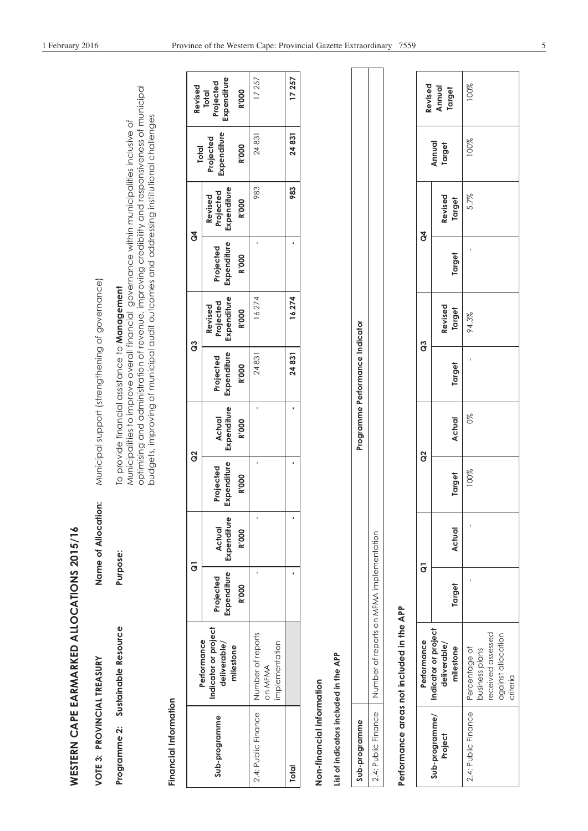| I      |
|--------|
|        |
|        |
|        |
|        |
|        |
|        |
| ľ      |
|        |
|        |
|        |
| j      |
|        |
|        |
|        |
|        |
|        |
|        |
|        |
|        |
|        |
|        |
|        |
| Ï      |
|        |
|        |
| ۔<br>ا |
|        |
|        |
|        |
|        |
|        |
|        |
|        |

| VOTE 3: PROVINCIAL TREASURY      | Name of Allocation: | Municipal support (strengthening of governance)                                                                                                                                           |
|----------------------------------|---------------------|-------------------------------------------------------------------------------------------------------------------------------------------------------------------------------------------|
| rogramme 2: Sustainable Resource | urpose:             | Aunicipalities to improve overall financial governance within municipalities inclusive of<br>To provide financial assistance to Management                                                |
|                                  |                     | optimising and administration of revenue, improving credibility and responsiveness of municipal<br>budgets, improving of municipal audit outcomes and addressing institutional challenges |

# Financial Information **Financial Information**

| Revised                                                          | Projected<br>Expenditure<br><b>Total</b><br><b>R'000</b> | 17257                                   | 17257        |
|------------------------------------------------------------------|----------------------------------------------------------|-----------------------------------------|--------------|
| <b>Total</b>                                                     | Expenditure<br>Projected<br><b>R'000</b>                 | 24831                                   | 24831        |
| ð                                                                | Projected<br>Expenditure<br>Revised<br><b>R'000</b>      | 983                                     | 983          |
|                                                                  | Projected<br>Expenditure<br><b>R'000</b>                 |                                         |              |
| ဗွ                                                               | Expenditure<br>Projected<br>Revised<br><b>R'OOO</b>      | 16274                                   | 16274        |
|                                                                  | Expenditure<br>Projected<br><b>R'000</b>                 | 24831                                   | 24831        |
| g                                                                | Expenditure<br><b>Actual</b><br><b>R'000</b>             |                                         |              |
|                                                                  | Expenditure<br>Projected<br><b>R'000</b>                 |                                         |              |
|                                                                  | <b>Actual</b><br><b>R'000</b>                            |                                         |              |
|                                                                  | Expenditure   Expenditure<br>Projected<br><b>R'000</b>   |                                         |              |
| indicator or project<br>Performance<br>deliverable/<br>milestone |                                                          | mplementation<br>on MFMA                |              |
|                                                                  | Sub-programme                                            | 2.4: Public Finance   Number of reports | <b>Total</b> |

# Non-financial information **Non-financial information**

# List of indicators included in the APP **List of indicators included in the APP**

| 2                      | ¢<br>j<br>í<br>mme <sub>1</sub>                                                              |
|------------------------|----------------------------------------------------------------------------------------------|
| olic Finance<br>$-1.1$ | S<br>$\dot{\epsilon}$<br>$\frac{1}{2}$<br>:<br>AENA A<br>dumber of reports on<br>)<br>2<br>2 |
|                        |                                                                                              |

# Performance areas not included in the APP **Performance areas not included in the APP**

|                | Revised<br>Annual<br>Target                       | 100%                                                                                   |
|----------------|---------------------------------------------------|----------------------------------------------------------------------------------------|
|                | Annual<br>Target                                  | 100%                                                                                   |
|                | Revised<br>Target                                 | 5.7%                                                                                   |
| $\mathfrak{F}$ | Target                                            |                                                                                        |
| ී              | Revised<br>Target                                 | 94.3%                                                                                  |
|                | Target                                            |                                                                                        |
| $\frac{1}{2}$  | <b>Actual</b>                                     | 88                                                                                     |
|                | Target                                            | 00%                                                                                    |
|                | <b>Actual</b>                                     |                                                                                        |
|                | Target                                            |                                                                                        |
| Performance    | Indicator or project<br>deliverable/<br>milestone | received assessed<br>against allocation<br>Percentage of<br>pusiness plans<br>criteria |
|                | Sub-programme/<br>Project                         | 2.4: Public Finance                                                                    |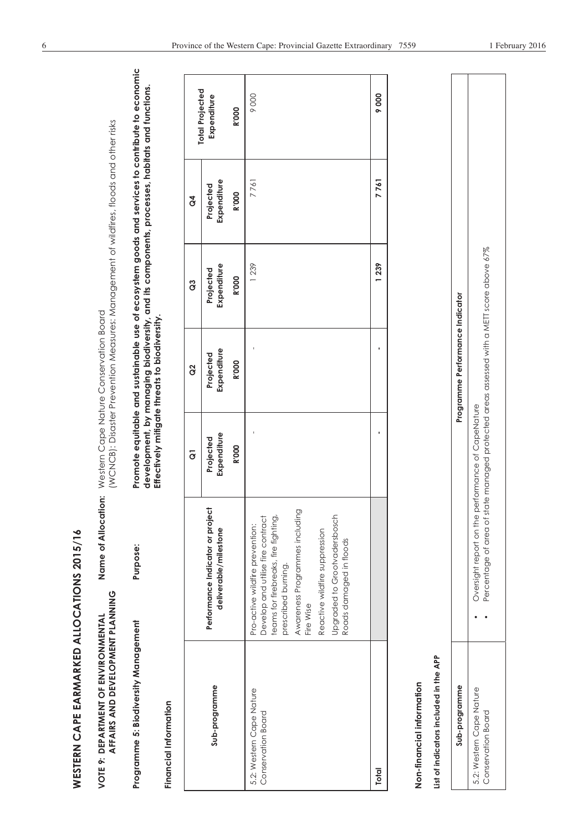| WESTERN CAPE EARMARKED ALLOCATIONS 2015/16                              |                                                                                              |                                                                                                                                                                                |                          |                                                                                                                                                |                          |                          |                                                                                                 |
|-------------------------------------------------------------------------|----------------------------------------------------------------------------------------------|--------------------------------------------------------------------------------------------------------------------------------------------------------------------------------|--------------------------|------------------------------------------------------------------------------------------------------------------------------------------------|--------------------------|--------------------------|-------------------------------------------------------------------------------------------------|
| AFFAIRS AND DEVELOPMENT PLANNING<br>VOTE 9: DEPARTMENT OF ENVIRONMENTAL |                                                                                              | Name of Allocation:                                                                                                                                                            |                          | (WCNCB): Disaster Prevention Measures: Management of wildfires, floods and other risks<br>Western Cape Nature Conservation Board               |                          |                          |                                                                                                 |
| Programme 5: Biodiversity Management<br>Financial Information           |                                                                                              | Purpose:                                                                                                                                                                       |                          | development, by managing biodiversity, and its components, processes, habitats and functions.<br>Effectively mitigate threats to biodiversity. |                          |                          | Promote equitable and sustainable use of ecosystem goods and services to contribute to economic |
|                                                                         |                                                                                              |                                                                                                                                                                                | $\overline{c}$           | $\frac{2}{3}$                                                                                                                                  | ဗိ                       | $\mathfrak{F}$           |                                                                                                 |
| Sub-programme                                                           |                                                                                              | Performance Indicator or project<br>deliverable/milestone                                                                                                                      | Expenditure<br>Projected | Expenditure<br>Projected                                                                                                                       | Expenditure<br>Projected | Expenditure<br>Projected | <b>Total Projected</b><br>Expenditure                                                           |
|                                                                         |                                                                                              |                                                                                                                                                                                | <b>R'000</b>             | <b>R'000</b>                                                                                                                                   | <b>R'000</b>             | <b>R'000</b>             | <b>R'000</b>                                                                                    |
| 5.2: Western Cape Nature<br>Conservation Board                          | Reactive wildfire suppression<br>Roads damaged in floods<br>prescribed burning.<br>Fire Wise | Awareness Programmes including<br>Upgraded to Grootvadersbosch<br>Develop and utilise fire contract<br>teams for firebreaks, fire fighting,<br>Pro-active wildfire prevention: |                          |                                                                                                                                                | 1239                     | 7761                     | 9000                                                                                            |
| Total                                                                   |                                                                                              |                                                                                                                                                                                |                          | $\blacksquare$                                                                                                                                 | 1239                     | 7761                     | 9000                                                                                            |
| List of indicators included in the APP<br>Non-financial information     |                                                                                              |                                                                                                                                                                                |                          |                                                                                                                                                |                          |                          |                                                                                                 |
| Sub-programme                                                           |                                                                                              |                                                                                                                                                                                |                          | Programme Performance Indicator                                                                                                                |                          |                          |                                                                                                 |
| 5.2: Western Cape Nature<br>Conservation Board                          |                                                                                              | Percentage of area of state managed protected areas assessed with a METT score above 67%<br>Oversight report on the performance of CapeNature                                  |                          |                                                                                                                                                |                          |                          |                                                                                                 |

| Programme Performance Indicator | of area of state managed protected areas assessed with a METI score above 67%<br>port on the performance of CapeNature<br>wersight rep<br>ercentage |
|---------------------------------|-----------------------------------------------------------------------------------------------------------------------------------------------------|
| Sub-programme                   | Φ<br>3.2: Western Cape Nature<br>Conservation Board                                                                                                 |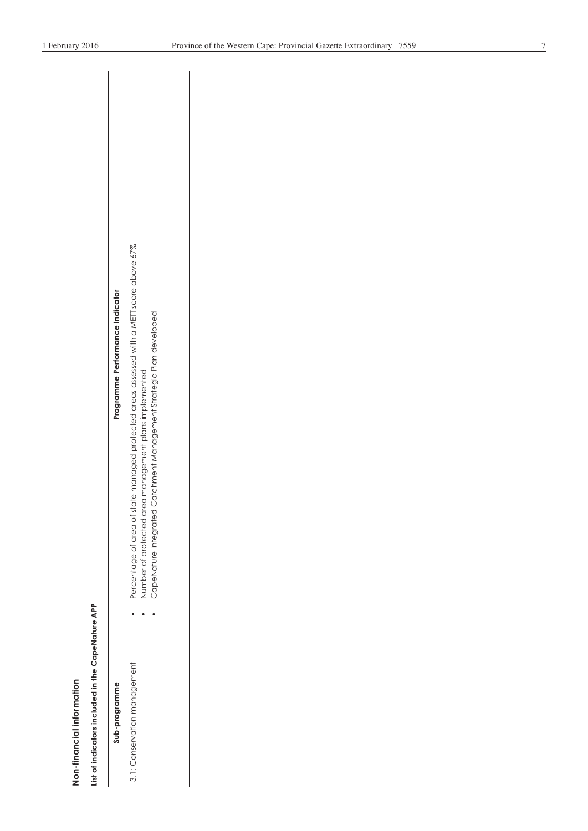| í |
|---|

# List of indicators included in the CapeNature APP **List of indicators included in the CapeNature APP**

| Programme Performance Indicator |                                                                                                                                                                                                                               |  |
|---------------------------------|-------------------------------------------------------------------------------------------------------------------------------------------------------------------------------------------------------------------------------|--|
|                                 | Percentage of area of state managed protected areas assessed with a METI score above 67%<br>arated Catchment Management Strategic Plan developed<br>lumber of protected area management plans implemented<br>CapeNature Inter |  |
| Sub-programme                   | 3.1: Conservation management                                                                                                                                                                                                  |  |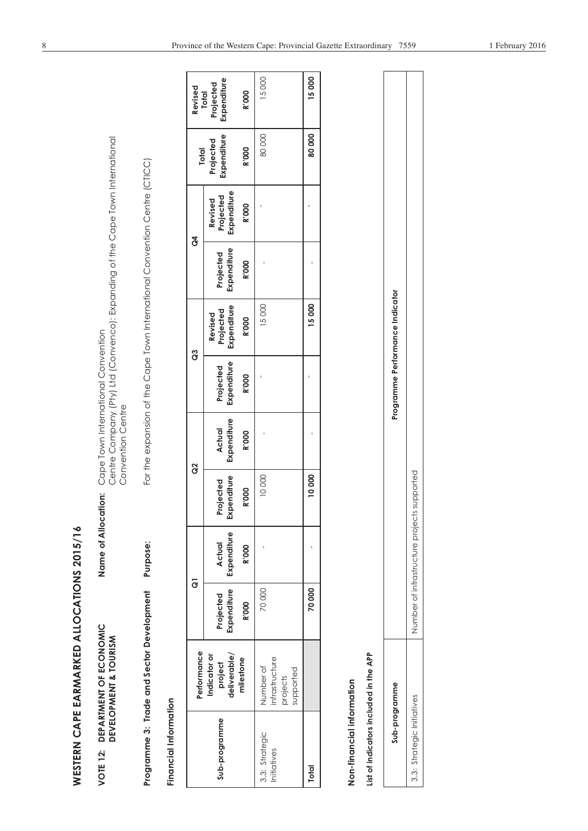| l      |
|--------|
|        |
|        |
| ľ      |
|        |
| ı      |
|        |
| l<br>I |
|        |
|        |
|        |
|        |
|        |
|        |
|        |
|        |
|        |
|        |
|        |
|        |
|        |
|        |
|        |
|        |
|        |
|        |
|        |
|        |
|        |
|        |
|        |
|        |
|        |
| í<br>< |
|        |
|        |
|        |
|        |
|        |
| ı<br>ī |
|        |
|        |
| i      |
| j      |

| VOTE 12: DEPARTMENT OF ECONOMI | sentants.<br><b>fion:</b> Cape Town International Car<br>ה הו מווהרמי                |
|--------------------------------|--------------------------------------------------------------------------------------|
|                                | )<br>)<br>)<br>ミラリン                                                                  |
| DEVELOPMENT & TOURISM          | . <sup>194</sup> y11td (Convenco): Expanding of the Cape Town Inter-<br>anta Company |
|                                | くときく<br>Consorting                                                                   |

|                                        | WESTERN CAPE EARMARKED ALLOCATIONS 2015/16           |                          |                                             |                          |                                                                                                                                          |                          |                                     |                          |                                     |                          |                                   |
|----------------------------------------|------------------------------------------------------|--------------------------|---------------------------------------------|--------------------------|------------------------------------------------------------------------------------------------------------------------------------------|--------------------------|-------------------------------------|--------------------------|-------------------------------------|--------------------------|-----------------------------------|
| VOTE 12:                               | DEPARTMENT OF ECONOMIC<br>DEVELOPMENT & TOURISM      |                          | Name of Allocation:                         |                          | Centre Company (Pty) Ltd (Convenco): Expanding of the Cape Town International<br>Cape Town International Convention<br>Convention Centre |                          |                                     |                          |                                     |                          |                                   |
|                                        | Programme 3: Trade and Sector Development            |                          | Purpose:                                    |                          | For the expansion of the Cape Town International Convention Centre (CTICC)                                                               |                          |                                     |                          |                                     |                          |                                   |
| Financial Information                  |                                                      |                          |                                             |                          |                                                                                                                                          |                          |                                     |                          |                                     |                          |                                   |
|                                        | Performance                                          |                          | $\overline{g}$                              |                          | g                                                                                                                                        |                          | <b>8</b>                            | $\mathcal{L}$            |                                     | <b>Total</b>             | Revised                           |
| Sub-programme                          | deliverable/<br>Indicator or<br>project              | Expenditure<br>Projected | Expenditure<br>Actual                       | Expenditure<br>Projected | Expenditure<br><b>Actual</b>                                                                                                             | Expenditure<br>Projected | Expenditure<br>Projected<br>Revised | Expenditure<br>Projected | Expenditure<br>Projected<br>Revised | Expenditure<br>Projected | Expenditure<br>Projected<br>Total |
|                                        | milestone                                            | <b>R'000</b>             | <b>R'000</b>                                | <b>R'000</b>             | <b>R'000</b>                                                                                                                             | <b>R'000</b>             | <b>R'000</b>                        | <b>R'000</b>             | <b>R'000</b>                        | <b>R'000</b>             | <b>R'000</b>                      |
| 3.3: Strategic<br>Initiatives          | infrastructure<br>Number of<br>supported<br>projects | 70000                    |                                             | 10000                    |                                                                                                                                          |                          | 15000                               |                          |                                     | 80000                    | 15000                             |
| <b>Total</b>                           |                                                      | 70000                    |                                             | 10000                    |                                                                                                                                          |                          | 15000                               |                          |                                     | 80000                    | 15000                             |
| Non-financial information              |                                                      |                          |                                             |                          |                                                                                                                                          |                          |                                     |                          |                                     |                          |                                   |
| List of indicators included in the APP |                                                      |                          |                                             |                          |                                                                                                                                          |                          |                                     |                          |                                     |                          |                                   |
|                                        | Sub-programme                                        |                          |                                             |                          |                                                                                                                                          |                          | Programme Performance Indicator     |                          |                                     |                          |                                   |
| 3.3: Strategic Initiatives             |                                                      |                          | Number of infrastructure projects supported |                          |                                                                                                                                          |                          |                                     |                          |                                     |                          |                                   |

| くそく<br>ī<br>ie Performance<br>֞֟׆<br>֟֩֟֩֟<br>ļ<br>$\overline{\phantom{a}}$ | 7<br>I<br>¢<br>ļ<br>֠<br>$\ddot{\dot{}}$<br>I<br>Ó<br>١<br>;<br>ì<br>ctri i Cti<br>J<br>J |
|-----------------------------------------------------------------------------|-------------------------------------------------------------------------------------------|
|                                                                             | י<br>וי<br>Ĵ<br><b>.</b><br>$\frac{1}{2}$                                                 |
| Sub-programme                                                               | ves<br>8.3: Strategic Initiativ<br>,<br>?                                                 |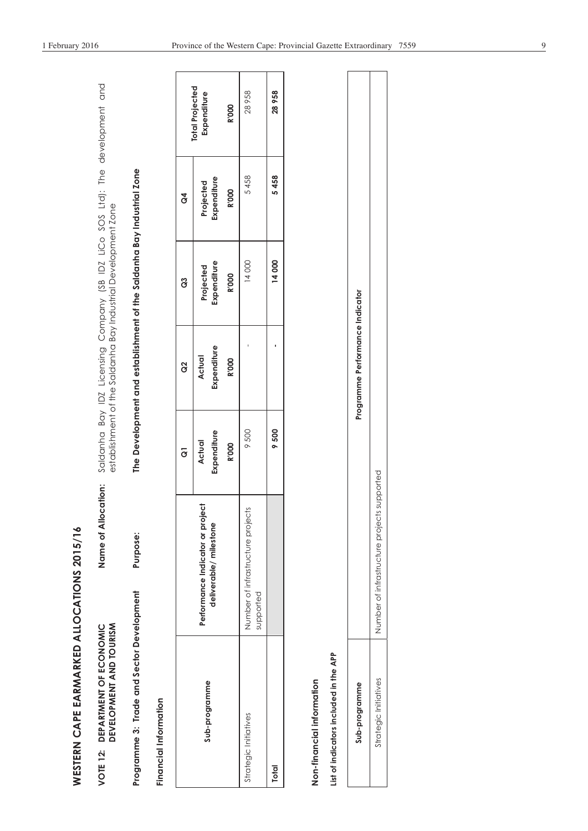| I      |
|--------|
| J      |
| I      |
|        |
|        |
|        |
|        |
|        |
| l      |
|        |
|        |
|        |
|        |
|        |
|        |
|        |
|        |
|        |
|        |
|        |
|        |
|        |
| l      |
|        |
| ı<br>l |
|        |
| i<br>l |
|        |
|        |
|        |
|        |
|        |
|        |
|        |

| Name of Allocation: Saldanha Bay IDZ Licensing Company (SB IDZ LiCo SOS Ltd): The development and<br>establishment of the Saldanha Bay Industrial Development Zone | The Development and establishment of the Saldanha Bay Industrial Zone |
|--------------------------------------------------------------------------------------------------------------------------------------------------------------------|-----------------------------------------------------------------------|
|                                                                                                                                                                    | <b>Purpose:</b>                                                       |
| DEVELOPMENT AND TOURISM<br>VOTE 12: DEPARTMENT OF ECONOMIC                                                                                                         | Programme 3: Trade and Sector Development                             |

Financial Information **Financial Information** 

|                | <b>Total Projected</b><br>Expenditure                     | <b>R'000</b> | 28 958                                         | 28958        |
|----------------|-----------------------------------------------------------|--------------|------------------------------------------------|--------------|
| $\mathcal{L}$  | Projected<br>Expenditure                                  | <b>R'000</b> | 5458                                           | 5458         |
| G3             | Projected<br>Expenditure                                  | <b>R'000</b> | 14000                                          | 14000        |
| g              | Expenditure<br>Actual                                     | <b>R'000</b> |                                                |              |
| $\overline{c}$ | <b>Expenditure</b><br>Actual                              | <b>R'000</b> | 9500                                           | 9500         |
|                | Performance Indicator or project<br>deliverable/milestone |              | Number of infrastructure projects<br>supported |              |
|                | Sub-programme                                             |              | Strategic Initiatives                          | <b>Total</b> |

# Non-financial information **Non-financial information**

# **List of indicators included in the APP**  List of indicators included in the APP

| ertormo<br><b>Promine Ferman</b> | Ò<br>$\frac{1}{2}$<br>)<br>2<br>.<br>پاکستان<br>مان<br>$-10$<br>$\frac{1}{2}$<br>l<br>ule pir.<br>$\sim$ |
|----------------------------------|----------------------------------------------------------------------------------------------------------|
|                                  | $\overline{\phantom{a}}$<br>)<br>į<br>$\frac{1}{2}$<br>$\frac{1}{2}$<br>Î                                |
| rogramn<br>Sub-p                 | Strategic Initiatives                                                                                    |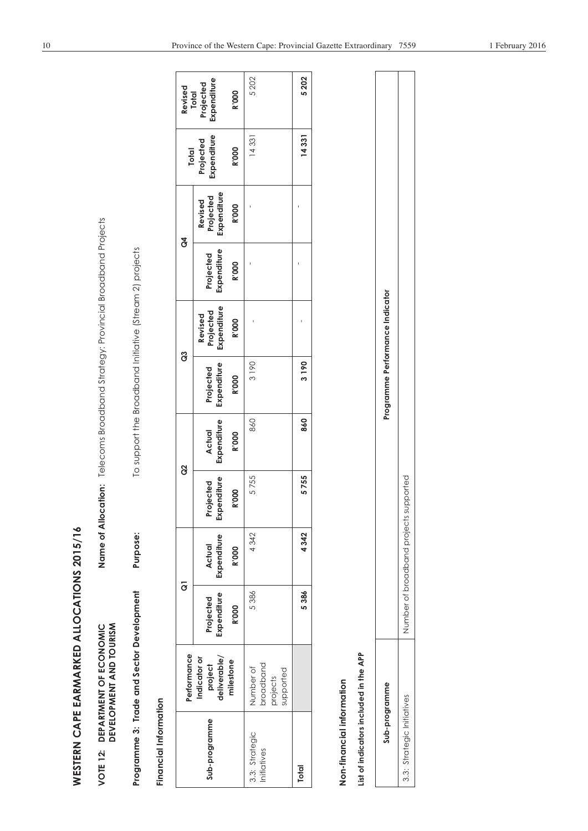| ı                    |
|----------------------|
| ı                    |
| $\ddot{\phantom{0}}$ |
| I                    |
|                      |
|                      |
|                      |
|                      |
|                      |
|                      |
| $\overline{a}$       |
| j                    |
|                      |
|                      |
|                      |
|                      |
|                      |
|                      |
|                      |
|                      |
|                      |
|                      |
|                      |
| Į.                   |
|                      |
| l                    |
| Í<br>l               |
|                      |
|                      |
|                      |
|                      |
|                      |
|                      |

| WESTERN CAPE EARMARKED ALLOCATIONS 2015/16 |                                                   |                          |                                        |                          |                                                                                |                                 |                                     |                          |                                     |                          |                                   |
|--------------------------------------------|---------------------------------------------------|--------------------------|----------------------------------------|--------------------------|--------------------------------------------------------------------------------|---------------------------------|-------------------------------------|--------------------------|-------------------------------------|--------------------------|-----------------------------------|
| VOTE 12:                                   | DEVELOPMENT AND TOURISM<br>DEPARTMENT OF ECONOMIC |                          |                                        |                          | Name of Allocation: Telecoms Broadband Strategy: Provincial Broadband Projects |                                 |                                     |                          |                                     |                          |                                   |
| Programme 3: Trade and Sector Development  |                                                   |                          | Purpose:                               |                          | To support the Broadband Initiative (Stream 2) projects                        |                                 |                                     |                          |                                     |                          |                                   |
| Financial Information                      |                                                   |                          |                                        |                          |                                                                                |                                 |                                     |                          |                                     |                          |                                   |
|                                            | Performance                                       |                          | $\overline{6}$                         |                          | g                                                                              |                                 | ဗိ                                  |                          | $\mathfrak{F}$                      | <b>Total</b>             | Revised                           |
| Sub-programme                              | deliverable/<br>Indicator or<br>project           | Expenditure<br>Projected | Expenditure<br>Actual                  | Expenditure<br>Projected | Expenditure<br>Actual                                                          | Expenditure<br>Projected        | Expenditure<br>Projected<br>Revised | Expenditure<br>Projected | Expenditure<br>Projected<br>Revised | Expenditure<br>Projected | Expenditure<br>Projected<br>Total |
|                                            | milestone                                         | <b>R'OOO</b>             | <b>R'000</b>                           | <b>R'000</b>             | <b>R'000</b>                                                                   | <b>R'000</b>                    | <b>R'000</b>                        | <b>R'000</b>             | <b>R'000</b>                        | <b>R'000</b>             | <b>R'000</b>                      |
| 3.3: Strategic<br>Initiatives              | broadband<br>Number of<br>supported<br>projects   | 5386                     | 4342                                   | 5755                     | 860                                                                            | 3190                            |                                     |                          |                                     | 14331                    | 5202                              |
| <b>Total</b>                               |                                                   | 5386                     | 4342                                   | 5755                     | 860                                                                            | 3190                            |                                     |                          |                                     | 14331                    | 5202                              |
| Non-financial information                  |                                                   |                          |                                        |                          |                                                                                |                                 |                                     |                          |                                     |                          |                                   |
| List of indicators included in the APP     |                                                   |                          |                                        |                          |                                                                                |                                 |                                     |                          |                                     |                          |                                   |
|                                            | Sub-programme                                     |                          |                                        |                          |                                                                                | Programme Performance Indicator |                                     |                          |                                     |                          |                                   |
| 3.3: Strategic Initiatives                 |                                                   |                          | Number of broadband projects supported |                          |                                                                                |                                 |                                     |                          |                                     |                          |                                   |

| e Performance |                                     |  |
|---------------|-------------------------------------|--|
|               | io<br>©<br>lumber of broadband proj |  |
| Sub-programme | 3.3: Strategic Initiatives          |  |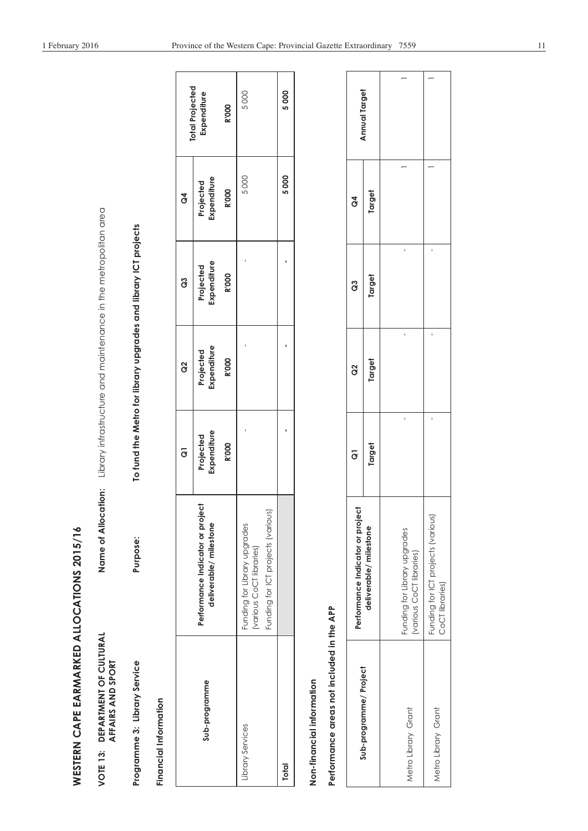| l                                                                                                  |
|----------------------------------------------------------------------------------------------------|
|                                                                                                    |
|                                                                                                    |
|                                                                                                    |
|                                                                                                    |
|                                                                                                    |
|                                                                                                    |
| I                                                                                                  |
|                                                                                                    |
|                                                                                                    |
| ֧֧֧֧֧֧֧֧֧֧֧֧֧֧֧֧֧֧֧֧֧֧֧֚֚֚֚֚֚֚֚֚֚֚֚֚֚֝֬֝֝֓֝֬֝֬֝֬֝֬֟֬֟֬֓֝֬֓֬֝֬֝֬֝֬֝֬֝֬֝֬֝֬֝֬֝֬֝֬֝<br>֧֪֪֧֪֧֧֧֧֝֝֬֬֩ |
|                                                                                                    |
|                                                                                                    |
|                                                                                                    |
|                                                                                                    |
|                                                                                                    |
| J                                                                                                  |
|                                                                                                    |
|                                                                                                    |
|                                                                                                    |
|                                                                                                    |
|                                                                                                    |
|                                                                                                    |
|                                                                                                    |
|                                                                                                    |
|                                                                                                    |
|                                                                                                    |
|                                                                                                    |
| ī                                                                                                  |
|                                                                                                    |
| ì                                                                                                  |
| I                                                                                                  |
| I                                                                                                  |
| $\frac{1}{4}$                                                                                      |
|                                                                                                    |
|                                                                                                    |
| Ĭ                                                                                                  |
|                                                                                                    |
|                                                                                                    |
|                                                                                                    |
|                                                                                                    |
|                                                                                                    |
|                                                                                                    |
|                                                                                                    |

| CILITIRAL<br>í<br>) |                |
|---------------------|----------------|
| Ğ<br>j              | AND CDODT      |
| <b>DEPARTMENT</b>   |                |
|                     | <b>AEEAIDC</b> |
|                     |                |
| $\frac{3}{2}$       |                |
| <b>J10/</b>         |                |

| WESTERN CAPE EARMARKED ALLOCATIONS 2015/16                          |                                                                                                |                          |                          |                                                                 |                          |                                       |
|---------------------------------------------------------------------|------------------------------------------------------------------------------------------------|--------------------------|--------------------------|-----------------------------------------------------------------|--------------------------|---------------------------------------|
| DEPARTMENT OF CULTURAL<br>AFFAIRS AND SPORT<br>VOTE <sub>13</sub> : | ation:<br>Name of Alloc                                                                        |                          |                          | Library infrastructure and maintenance in the metropolitan area |                          |                                       |
| Programme 3: Library Service                                        | Purpose:                                                                                       |                          |                          | To fund the Metro for library upgrades and library ICT projects |                          |                                       |
| Financial Information                                               |                                                                                                |                          |                          |                                                                 |                          |                                       |
|                                                                     |                                                                                                | $\overline{6}$           | 8                        | ွိ                                                              | $\overline{d}$           |                                       |
| Sub-programme                                                       | Performance Indicator or project<br>deliverable/milestone                                      | Expenditure<br>Projected | Expenditure<br>Projected | Expenditure<br>Projected                                        | Expenditure<br>Projected | <b>Total Projected</b><br>Expenditure |
|                                                                     |                                                                                                | <b>R'000</b>             | <b>R'000</b>             | <b>R'000</b>                                                    | <b>R'000</b>             | <b>R'000</b>                          |
| Library Services                                                    | Funding for ICT projects (various)<br>Funding for Library upgrades<br>(various CoCT libraries) | ı                        |                          | I                                                               | 5000                     | 5000                                  |
| <b>Total</b>                                                        |                                                                                                | ı                        | ı                        | ٠                                                               | 5000                     | 5000                                  |
| Non-financial information                                           |                                                                                                |                          |                          |                                                                 |                          |                                       |
| Performance areas not included in the APP                           |                                                                                                |                          |                          |                                                                 |                          |                                       |
|                                                                     | Performance Indicator or project                                                               | $\overline{\sigma}$      | g                        | 3                                                               | ð                        | Annual Target                         |
| Sub-programme/Project                                               | deliverable/milestone                                                                          | Target                   | Target                   | Target                                                          | Target                   |                                       |
| Metro Library Grant                                                 | Funding for Library upgrades<br>(various CoCT libraries)                                       | $\mathbf{I}$             | $\mathbf{I}$             | f,                                                              |                          |                                       |
| Metro Library Grant                                                 | Funding for ICT projects (various)<br>CoCT libraries)                                          |                          | $\mathbf I$              |                                                                 |                          | -                                     |

| Annual Target                    |                       |                                                          |                                                       |
|----------------------------------|-----------------------|----------------------------------------------------------|-------------------------------------------------------|
| ğ                                | Target                |                                                          |                                                       |
| ვ<br>შ                           | Target                |                                                          |                                                       |
| ္ပြ                              | Target                |                                                          |                                                       |
| $\overline{6}$                   | Target                |                                                          |                                                       |
| Performance Indicator or project | deliverable/milestone | Funding for Library upgrades<br>(various CoCT libraries) | Funding for ICT projects (various)<br>CoCT libraries) |
|                                  | Sub-programme/Project | Metro Library Grant                                      | Metro Library Grant                                   |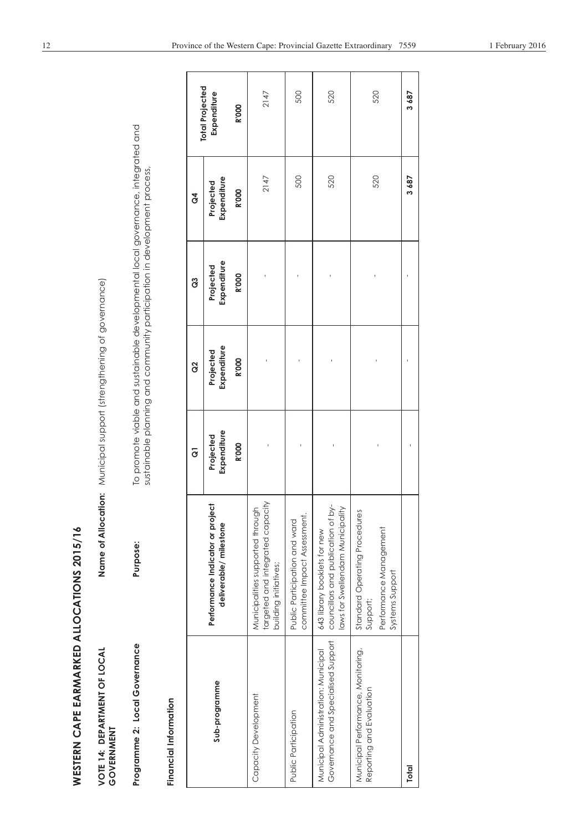| WESTERN CAPE EARMARKED ALLOCATIONS 2015/16                                |                                                                                                        |                          |                          |                                                                                                                                                              |                          |                        |
|---------------------------------------------------------------------------|--------------------------------------------------------------------------------------------------------|--------------------------|--------------------------|--------------------------------------------------------------------------------------------------------------------------------------------------------------|--------------------------|------------------------|
| VOTE 14: DEPARTMENT OF LOCAL<br>GOVERNMENT                                | Name of Allocation: Municipal support (strengthening of governance)                                    |                          |                          |                                                                                                                                                              |                          |                        |
| Programme 2: Local Governance                                             | Purpose:                                                                                               |                          |                          | To promote viable and sustainable developmental local governance, integrated and<br>sustainable planning and community participation in development process, |                          |                        |
| Financial Information                                                     |                                                                                                        |                          |                          |                                                                                                                                                              |                          |                        |
|                                                                           |                                                                                                        | $\overline{6}$           | g                        | ဒိ                                                                                                                                                           | $\overline{d}$           | <b>Total Projected</b> |
| Sub-programme                                                             | Performance Indicator or project<br>deliverable/milestone                                              | Expenditure<br>Projected | Expenditure<br>Projected | Expenditure<br>Projected                                                                                                                                     | Expenditure<br>Projected | Expenditure            |
|                                                                           |                                                                                                        | <b>R'000</b>             | <b>R'000</b>             | <b>R'000</b>                                                                                                                                                 | <b>R'000</b>             | <b>R'000</b>           |
| Capacity Development                                                      | targeted and integrated capacity<br>Municipalities supported through<br>building initiatives;          |                          |                          |                                                                                                                                                              | 2147                     | 2147                   |
| Public Participation                                                      | committee Impact Assessment.<br>Public Participation and ward                                          |                          |                          |                                                                                                                                                              | 500                      | 500                    |
| Governance and Specialised Support<br>Municipal Administration: Municipal | councillors and publication of by-<br>laws for Swellendam Municipality<br>643 library booklets for new |                          |                          |                                                                                                                                                              | 520                      | 520                    |
| Municipal Performance, Monitoring,<br>Reporting and Evaluation            | Standard Operating Procedures<br>Performance Management<br>Systems Support<br>Support;                 |                          |                          |                                                                                                                                                              | 520                      | 520                    |
| <b>Total</b>                                                              |                                                                                                        |                          |                          |                                                                                                                                                              | 3687                     | 3687                   |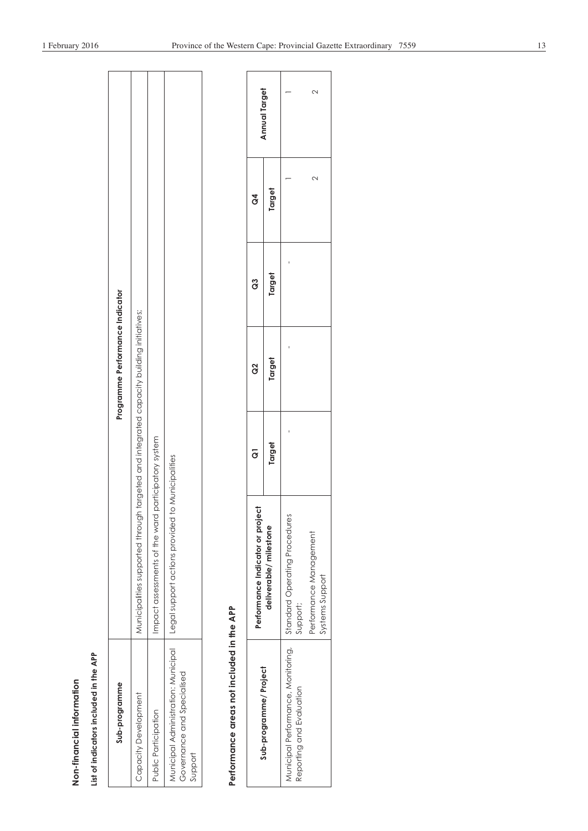| ı |  |
|---|--|
|   |  |
|   |  |
|   |  |
|   |  |
|   |  |
|   |  |
|   |  |
|   |  |
|   |  |
|   |  |
|   |  |
|   |  |
|   |  |
|   |  |
|   |  |
|   |  |
|   |  |
|   |  |
|   |  |
|   |  |

| Non-financial information                                                    |                                                                                     |                      |                                 |        |                |                      |
|------------------------------------------------------------------------------|-------------------------------------------------------------------------------------|----------------------|---------------------------------|--------|----------------|----------------------|
| List of indicators included in the APP                                       |                                                                                     |                      |                                 |        |                |                      |
| Sub-programme                                                                |                                                                                     |                      | Programme Performance Indicator |        |                |                      |
| Capacity Development                                                         | Wunicipalities supported through targeted and energy capacity building initiatives; |                      |                                 |        |                |                      |
| Public Participation                                                         | Impact assessments of the ward                                                      | participatory system |                                 |        |                |                      |
| Municipal Administration: Municipal<br>Governance and Specialised<br>Support | Legal support actions provided                                                      | to Municipalities    |                                 |        |                |                      |
| Performance areas not included in the APP                                    |                                                                                     |                      |                                 |        |                |                      |
|                                                                              | Performance Indicator or project                                                    | $\overline{G}$       | g                               | õ      | $\mathfrak{F}$ |                      |
| Sub-programme/Project                                                        | deliverable/ milestone                                                              | Target               | Target                          | Target | Target         | <b>Annual Target</b> |
| Municipal Performance, Monitoring,<br>Reporting and Evaluation               | Standard Operating Procedures<br>Support;                                           |                      |                                 |        |                |                      |
|                                                                              | Performance Management<br>Systems Support                                           |                      |                                 |        | 2              | 2                    |

| Sub-programme/ Project   | Performance Indicator or project                                               | ခြ    | ဗွ    | ဗိ    | ð      | nnual Target |
|--------------------------|--------------------------------------------------------------------------------|-------|-------|-------|--------|--------------|
|                          | deliverable/milestone                                                          | arget | arget | arget | arget  |              |
| Reporting and Evaluation | Aunicipal Performance, Monitoring,   Standard Operating Procedures<br>Support; | Ì     |       | Ì     |        |              |
|                          | Performance Management<br>Systems Support                                      |       |       |       | ↘<br>c | c<br>√       |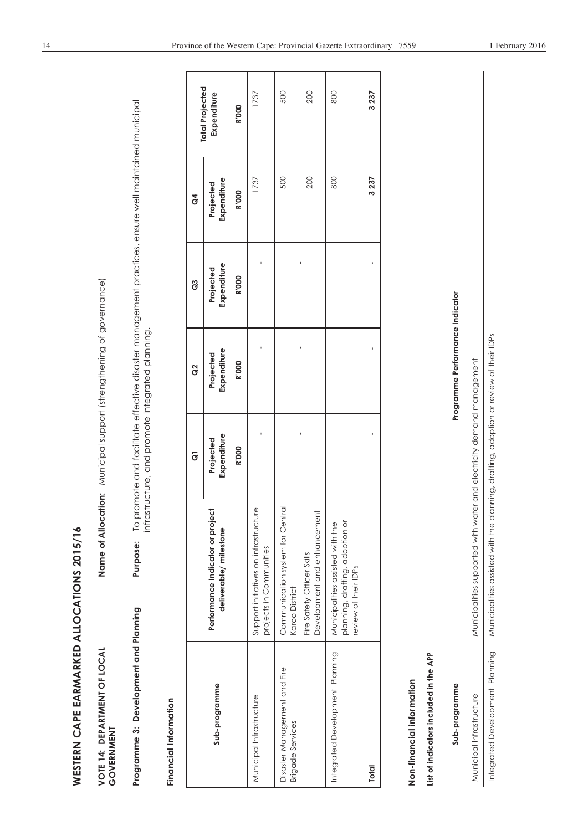| WESTERN CAPE EARMARKED ALLOCATIONS 2015/16              |                                                                                             |                                                                                                                                                         |                                 |                          |                          |                        |
|---------------------------------------------------------|---------------------------------------------------------------------------------------------|---------------------------------------------------------------------------------------------------------------------------------------------------------|---------------------------------|--------------------------|--------------------------|------------------------|
| VOTE 14: DEPARTMENT OF LOCAL<br>GOVERNMENT              |                                                                                             | Name of Allocation: Municipal support (strengthening of governance)                                                                                     |                                 |                          |                          |                        |
| Programme 3: Development and Planning                   | Purpose:                                                                                    | To promote and facilitate effective disaster management practices, ensure well maintained municipal<br>infrastructure, and promote integrated planning. |                                 |                          |                          |                        |
| Financial Information                                   |                                                                                             |                                                                                                                                                         |                                 |                          |                          |                        |
|                                                         |                                                                                             | $\overline{c}$                                                                                                                                          | g                               | 3                        | $\mathcal{L}$            | <b>Total Projected</b> |
| Sub-programme                                           | Performance Indicator or project<br>deliverable/milestone                                   | Expenditure<br>Projected                                                                                                                                | Expenditure<br>Projected        | Expenditure<br>Projected | Expenditure<br>Projected | Expenditure            |
|                                                         |                                                                                             | <b>R'000</b>                                                                                                                                            | <b>R'000</b>                    | <b>R'000</b>             | <b>R'000</b>             | <b>R'000</b>           |
| Municipal Infrastructure                                | Support initiatives on infrastructure<br>projects in Communities                            |                                                                                                                                                         |                                 |                          | 1737                     | 1737                   |
| Disaster Management and Fire<br><b>Brigade Services</b> | Communication system for Central<br>Karoo District                                          |                                                                                                                                                         |                                 |                          | 500                      | 500                    |
|                                                         | Development and enhancement<br>Fire Safety Officer Skills                                   |                                                                                                                                                         |                                 |                          | 200                      | 200                    |
| Integrated Development Planning                         | planning, drafting, adoption or<br>Municipalities assisted with the<br>review of their IDPs |                                                                                                                                                         |                                 |                          | 800                      | 800                    |
| <b>Total</b>                                            |                                                                                             | $\blacksquare$                                                                                                                                          | ٠                               | I,                       | 3237                     | 3237                   |
| Non-financial information                               |                                                                                             |                                                                                                                                                         |                                 |                          |                          |                        |
| List of indicators included in the APP                  |                                                                                             |                                                                                                                                                         |                                 |                          |                          |                        |
| Sub-programme                                           |                                                                                             |                                                                                                                                                         | Programme Performance Indicator |                          |                          |                        |
| Municipal Infrastructure                                | Municipalities supported with water and electricity demand management                       |                                                                                                                                                         |                                 |                          |                          |                        |
| Integrated Development Planning                         | Municipalities assisted with the planning, drafting, adoption or review of their IDPs       |                                                                                                                                                         |                                 |                          |                          |                        |

| Programme Performance Indicator | vith water and electricity demand management<br>iunicipalities supported w | n the planning, drafting, adoption or review of their IDPs<br>Aunicipalities assisted with |
|---------------------------------|----------------------------------------------------------------------------|--------------------------------------------------------------------------------------------|
| Sub-programm                    | unicipal Infrastructure                                                    | ntegrated Development Planning                                                             |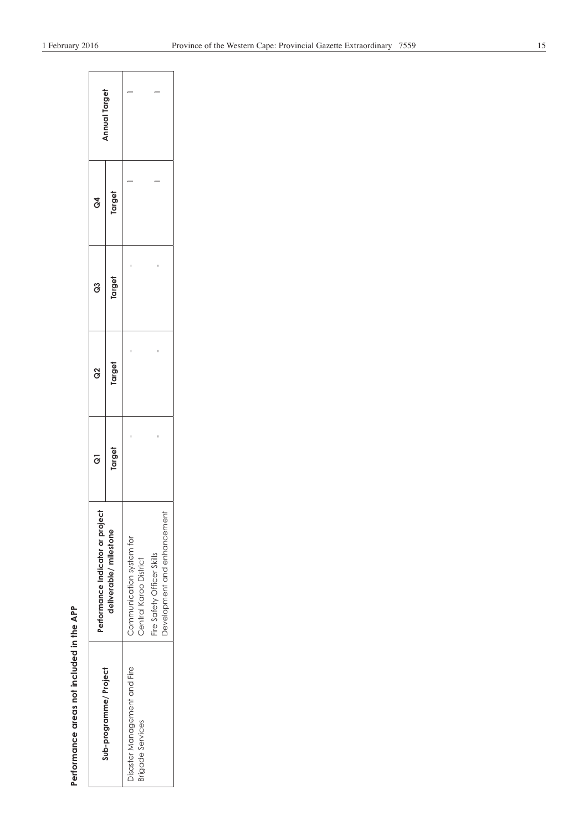| I              |
|----------------|
|                |
|                |
| í              |
| i<br>Č<br>ׇ֚֚֬ |
|                |
|                |

| Performance areas not included in the APP |                                                      |        |        |        |                |               |
|-------------------------------------------|------------------------------------------------------|--------|--------|--------|----------------|---------------|
| Sub-programme/Project                     | Performance Indicator or project                     | ō      | ဥ      | ິອ     | $\mathfrak{F}$ | Annual Target |
|                                           | deliverable/milestone                                | Target | Target | Target | Target         |               |
| Disaster Management and Fire              | Communication system for                             |        |        |        |                |               |
| Brigade Services                          | Fire Safety Officer Skills<br>Central Karoo District |        |        |        |                |               |
|                                           | Development and enhancement                          |        |        |        |                |               |